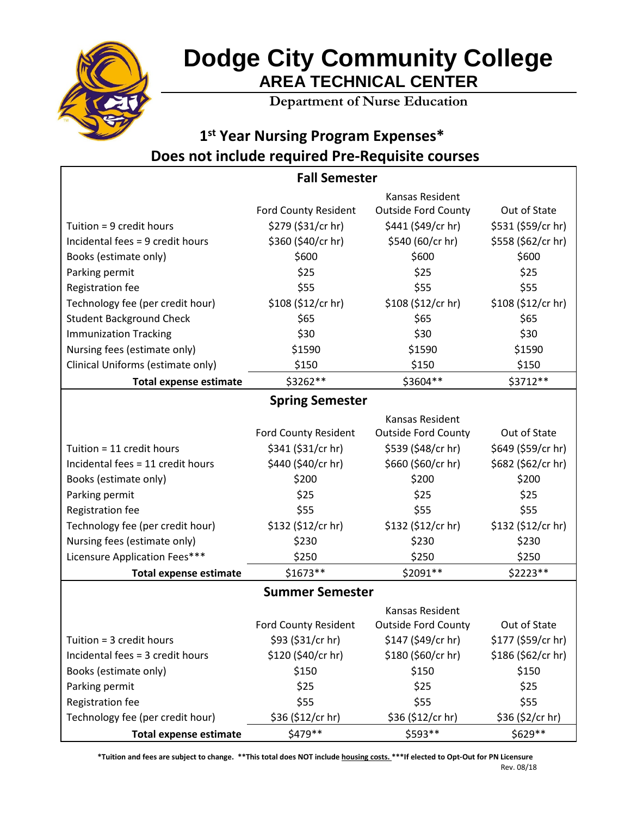

## **Dodge City Community College AREA TECHNICAL CENTER**

**Department of Nurse Education**

## **1st Year Nursing Program Expenses\* Does not include required Pre-Requisite courses**

| <b>Fall Semester</b>              |                             |                            |                    |  |  |
|-----------------------------------|-----------------------------|----------------------------|--------------------|--|--|
|                                   |                             | Kansas Resident            |                    |  |  |
|                                   | Ford County Resident        | <b>Outside Ford County</b> | Out of State       |  |  |
| Tuition = 9 credit hours          | \$279 (\$31/cr hr)          | \$441 (\$49/cr hr)         | \$531 (\$59/cr hr) |  |  |
| Incidental fees = 9 credit hours  | \$360 (\$40/cr hr)          | \$540 (60/cr hr)           | \$558 (\$62/cr hr) |  |  |
| Books (estimate only)             | \$600                       | \$600                      | \$600              |  |  |
| Parking permit                    | \$25                        | \$25                       | \$25               |  |  |
| Registration fee                  | \$55                        | \$55                       | \$55               |  |  |
| Technology fee (per credit hour)  | \$108 (\$12/cr hr)          | \$108 (\$12/cr hr)         | \$108 (\$12/cr hr) |  |  |
| <b>Student Background Check</b>   | \$65                        | \$65                       | \$65               |  |  |
| <b>Immunization Tracking</b>      | \$30                        | \$30                       | \$30               |  |  |
| Nursing fees (estimate only)      | \$1590                      | \$1590                     | \$1590             |  |  |
| Clinical Uniforms (estimate only) | \$150                       | \$150                      | \$150              |  |  |
| <b>Total expense estimate</b>     | \$3262 **                   | \$3604**                   | \$3712**           |  |  |
| <b>Spring Semester</b>            |                             |                            |                    |  |  |
|                                   |                             | Kansas Resident            |                    |  |  |
|                                   | <b>Ford County Resident</b> | <b>Outside Ford County</b> | Out of State       |  |  |
| Tuition = 11 credit hours         | \$341 (\$31/cr hr)          | \$539 (\$48/cr hr)         | \$649 (\$59/cr hr) |  |  |
| Incidental fees = 11 credit hours | \$440 (\$40/cr hr)          | \$660 (\$60/cr hr)         | \$682 (\$62/cr hr) |  |  |
| Books (estimate only)             | \$200                       | \$200                      | \$200              |  |  |
| Parking permit                    | \$25                        | \$25                       | \$25               |  |  |
| <b>Registration fee</b>           | \$55                        | \$55                       | \$55               |  |  |
| Technology fee (per credit hour)  | \$132 (\$12/cr hr)          | \$132 (\$12/cr hr)         | \$132 (\$12/cr hr) |  |  |
| Nursing fees (estimate only)      | \$230                       | \$230                      | \$230              |  |  |
| Licensure Application Fees***     | \$250                       | \$250                      | \$250              |  |  |
| <b>Total expense estimate</b>     | \$1673**                    | \$2091 **                  | \$2223 **          |  |  |
| <b>Summer Semester</b>            |                             |                            |                    |  |  |
|                                   |                             | Kansas Resident            |                    |  |  |
|                                   | <b>Ford County Resident</b> | <b>Outside Ford County</b> | Out of State       |  |  |
| Tuition = 3 credit hours          | \$93 (\$31/cr hr)           | \$147 (\$49/cr hr)         | \$177 (\$59/cr hr) |  |  |
| Incidental fees = 3 credit hours  | \$120 (\$40/cr hr)          | \$180 (\$60/cr hr)         | \$186 (\$62/cr hr) |  |  |
| Books (estimate only)             | \$150                       | \$150                      | \$150              |  |  |
| Parking permit                    | \$25                        | \$25                       | \$25               |  |  |
| Registration fee                  | \$55                        | \$55                       | \$55               |  |  |
| Technology fee (per credit hour)  | \$36 (\$12/cr hr)           | \$36 (\$12/cr hr)          | \$36 (\$2/cr hr)   |  |  |
| <b>Total expense estimate</b>     | \$479**                     | \$593**                    | \$629 **           |  |  |

**\*Tuition and fees are subject to change. \*\*This total does NOT include housing costs. \*\*\*If elected to Opt-Out for PN Licensure** Rev. 08/18